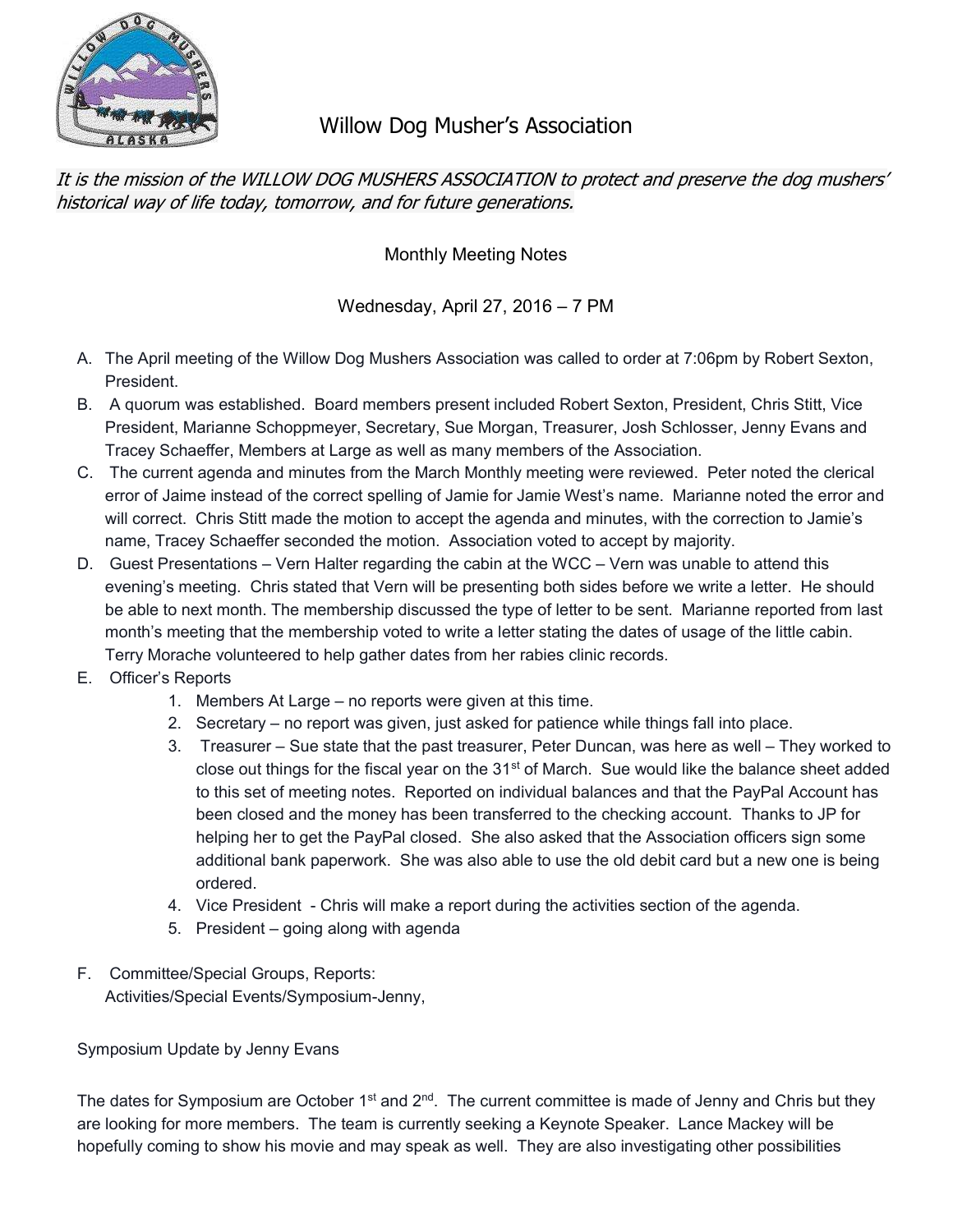

# Willow Dog Musher's Association

It is the mission of the WILLOW DOG MUSHERS ASSOCIATION to protect and preserve the dog mushers' historical way of life today, tomorrow, and for future generations.

Monthly Meeting Notes

Wednesday, April 27, 2016 – 7 PM

- A. The April meeting of the Willow Dog Mushers Association was called to order at 7:06pm by Robert Sexton, President.
- B. A quorum was established. Board members present included Robert Sexton, President, Chris Stitt, Vice President, Marianne Schoppmeyer, Secretary, Sue Morgan, Treasurer, Josh Schlosser, Jenny Evans and Tracey Schaeffer, Members at Large as well as many members of the Association.
- C. The current agenda and minutes from the March Monthly meeting were reviewed. Peter noted the clerical error of Jaime instead of the correct spelling of Jamie for Jamie West's name. Marianne noted the error and will correct. Chris Stitt made the motion to accept the agenda and minutes, with the correction to Jamie's name, Tracey Schaeffer seconded the motion. Association voted to accept by majority.
- D. Guest Presentations Vern Halter regarding the cabin at the WCC Vern was unable to attend this evening's meeting. Chris stated that Vern will be presenting both sides before we write a letter. He should be able to next month. The membership discussed the type of letter to be sent. Marianne reported from last month's meeting that the membership voted to write a letter stating the dates of usage of the little cabin. Terry Morache volunteered to help gather dates from her rabies clinic records.
- E. Officer's Reports
	- 1. Members At Large no reports were given at this time.
	- 2. Secretary no report was given, just asked for patience while things fall into place.
	- 3. Treasurer Sue state that the past treasurer, Peter Duncan, was here as well They worked to close out things for the fiscal year on the 31<sup>st</sup> of March. Sue would like the balance sheet added to this set of meeting notes. Reported on individual balances and that the PayPal Account has been closed and the money has been transferred to the checking account. Thanks to JP for helping her to get the PayPal closed. She also asked that the Association officers sign some additional bank paperwork. She was also able to use the old debit card but a new one is being ordered.
	- 4. Vice President Chris will make a report during the activities section of the agenda.
	- 5. President going along with agenda
- F. Committee/Special Groups, Reports: Activities/Special Events/Symposium-Jenny,

Symposium Update by Jenny Evans

The dates for Symposium are October 1<sup>st</sup> and  $2^{nd}$ . The current committee is made of Jenny and Chris but they are looking for more members. The team is currently seeking a Keynote Speaker. Lance Mackey will be hopefully coming to show his movie and may speak as well. They are also investigating other possibilities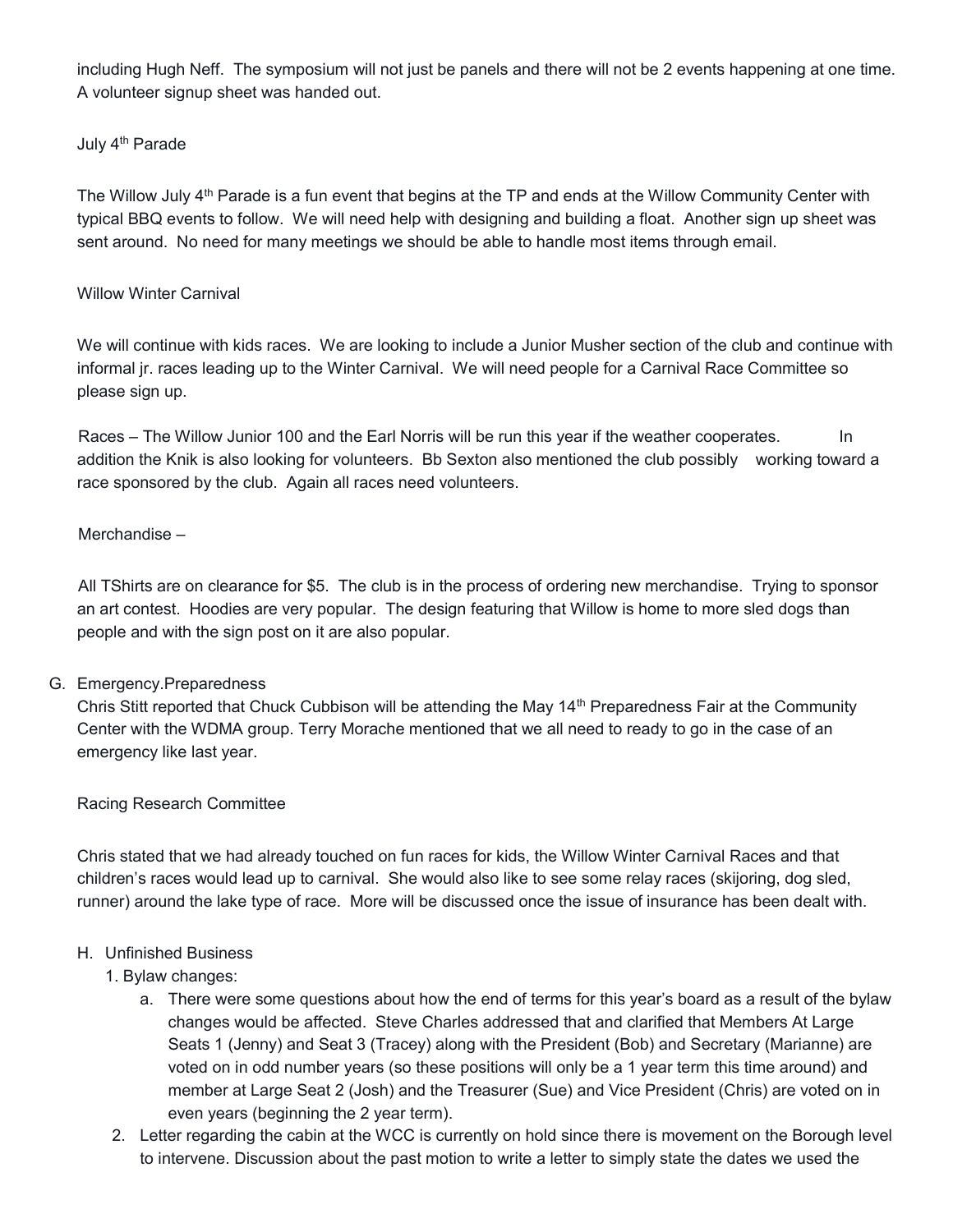including Hugh Neff. The symposium will not just be panels and there will not be 2 events happening at one time. A volunteer signup sheet was handed out.

#### July 4<sup>th</sup> Parade

The Willow July 4<sup>th</sup> Parade is a fun event that begins at the TP and ends at the Willow Community Center with typical BBQ events to follow. We will need help with designing and building a float. Another sign up sheet was sent around. No need for many meetings we should be able to handle most items through email.

#### Willow Winter Carnival

We will continue with kids races. We are looking to include a Junior Musher section of the club and continue with informal jr. races leading up to the Winter Carnival. We will need people for a Carnival Race Committee so please sign up.

Races – The Willow Junior 100 and the Earl Norris will be run this year if the weather cooperates. In addition the Knik is also looking for volunteers. Bb Sexton also mentioned the club possibly working toward a race sponsored by the club. Again all races need volunteers.

## Merchandise –

All TShirts are on clearance for \$5. The club is in the process of ordering new merchandise. Trying to sponsor an art contest. Hoodies are very popular. The design featuring that Willow is home to more sled dogs than people and with the sign post on it are also popular.

## G. Emergency.Preparedness

Chris Stitt reported that Chuck Cubbison will be attending the May 14<sup>th</sup> Preparedness Fair at the Community Center with the WDMA group. Terry Morache mentioned that we all need to ready to go in the case of an emergency like last year.

#### Racing Research Committee

Chris stated that we had already touched on fun races for kids, the Willow Winter Carnival Races and that children's races would lead up to carnival. She would also like to see some relay races (skijoring, dog sled, runner) around the lake type of race. More will be discussed once the issue of insurance has been dealt with.

#### H. Unfinished Business

## 1. Bylaw changes:

- a. There were some questions about how the end of terms for this year's board as a result of the bylaw changes would be affected. Steve Charles addressed that and clarified that Members At Large Seats 1 (Jenny) and Seat 3 (Tracey) along with the President (Bob) and Secretary (Marianne) are voted on in odd number years (so these positions will only be a 1 year term this time around) and member at Large Seat 2 (Josh) and the Treasurer (Sue) and Vice President (Chris) are voted on in even years (beginning the 2 year term).
- 2. Letter regarding the cabin at the WCC is currently on hold since there is movement on the Borough level to intervene. Discussion about the past motion to write a letter to simply state the dates we used the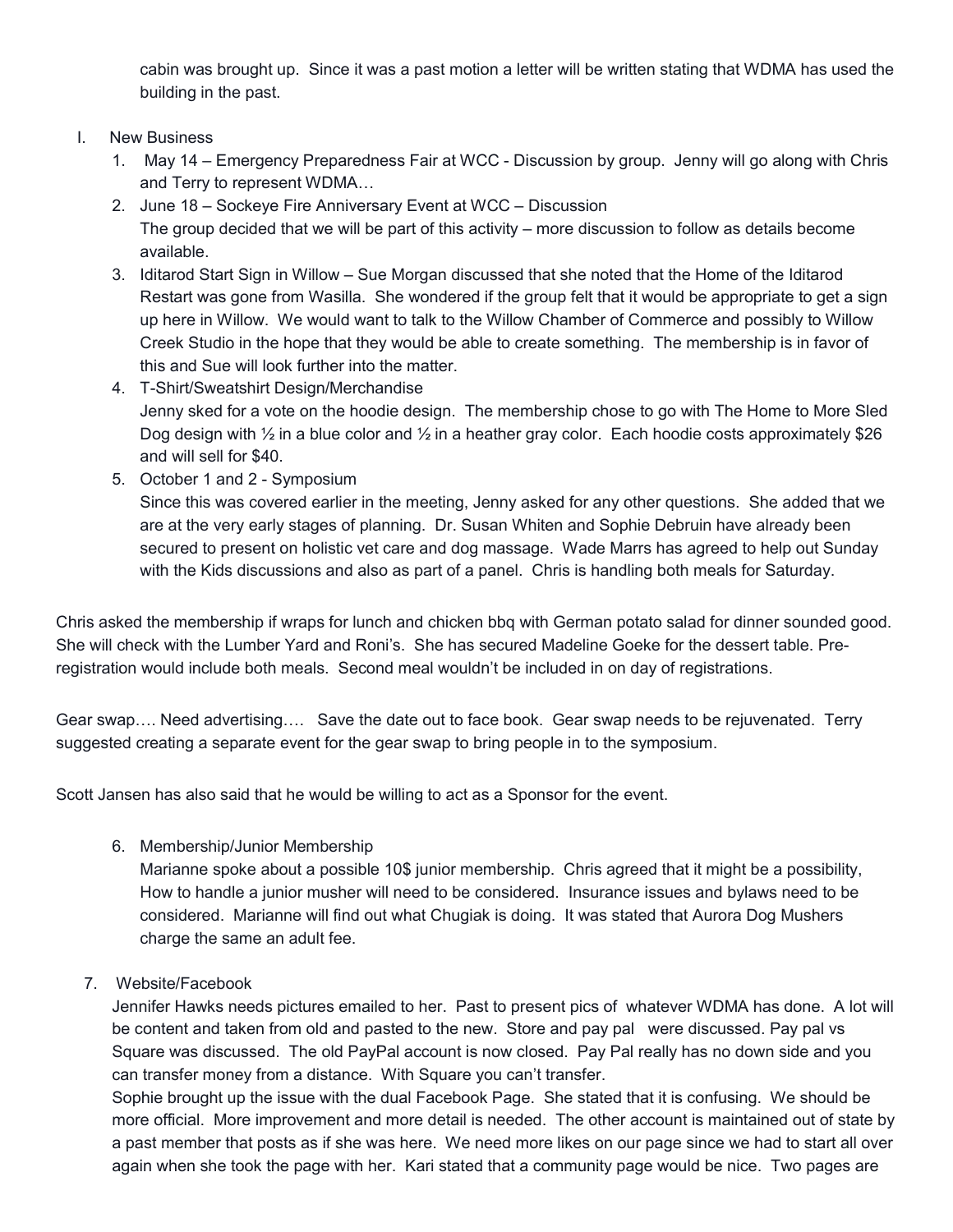cabin was brought up. Since it was a past motion a letter will be written stating that WDMA has used the building in the past.

## I. New Business

- 1. May 14 Emergency Preparedness Fair at WCC Discussion by group. Jenny will go along with Chris and Terry to represent WDMA…
- 2. June 18 Sockeye Fire Anniversary Event at WCC Discussion The group decided that we will be part of this activity – more discussion to follow as details become available.
- 3. Iditarod Start Sign in Willow Sue Morgan discussed that she noted that the Home of the Iditarod Restart was gone from Wasilla. She wondered if the group felt that it would be appropriate to get a sign up here in Willow. We would want to talk to the Willow Chamber of Commerce and possibly to Willow Creek Studio in the hope that they would be able to create something. The membership is in favor of this and Sue will look further into the matter.
- 4. T-Shirt/Sweatshirt Design/Merchandise Jenny sked for a vote on the hoodie design. The membership chose to go with The Home to More Sled Dog design with  $\frac{1}{2}$  in a blue color and  $\frac{1}{2}$  in a heather gray color. Each hoodie costs approximately \$26 and will sell for \$40.
- 5. October 1 and 2 Symposium Since this was covered earlier in the meeting, Jenny asked for any other questions. She added that we are at the very early stages of planning. Dr. Susan Whiten and Sophie Debruin have already been secured to present on holistic vet care and dog massage. Wade Marrs has agreed to help out Sunday with the Kids discussions and also as part of a panel. Chris is handling both meals for Saturday.

Chris asked the membership if wraps for lunch and chicken bbq with German potato salad for dinner sounded good. She will check with the Lumber Yard and Roni's. She has secured Madeline Goeke for the dessert table. Preregistration would include both meals. Second meal wouldn't be included in on day of registrations.

Gear swap…. Need advertising…. Save the date out to face book. Gear swap needs to be rejuvenated. Terry suggested creating a separate event for the gear swap to bring people in to the symposium.

Scott Jansen has also said that he would be willing to act as a Sponsor for the event.

6. Membership/Junior Membership

Marianne spoke about a possible 10\$ junior membership. Chris agreed that it might be a possibility, How to handle a junior musher will need to be considered. Insurance issues and bylaws need to be considered. Marianne will find out what Chugiak is doing. It was stated that Aurora Dog Mushers charge the same an adult fee.

7. Website/Facebook

Jennifer Hawks needs pictures emailed to her. Past to present pics of whatever WDMA has done. A lot will be content and taken from old and pasted to the new. Store and pay pal were discussed. Pay pal vs Square was discussed. The old PayPal account is now closed. Pay Pal really has no down side and you can transfer money from a distance. With Square you can't transfer.

Sophie brought up the issue with the dual Facebook Page. She stated that it is confusing. We should be more official. More improvement and more detail is needed. The other account is maintained out of state by a past member that posts as if she was here. We need more likes on our page since we had to start all over again when she took the page with her. Kari stated that a community page would be nice. Two pages are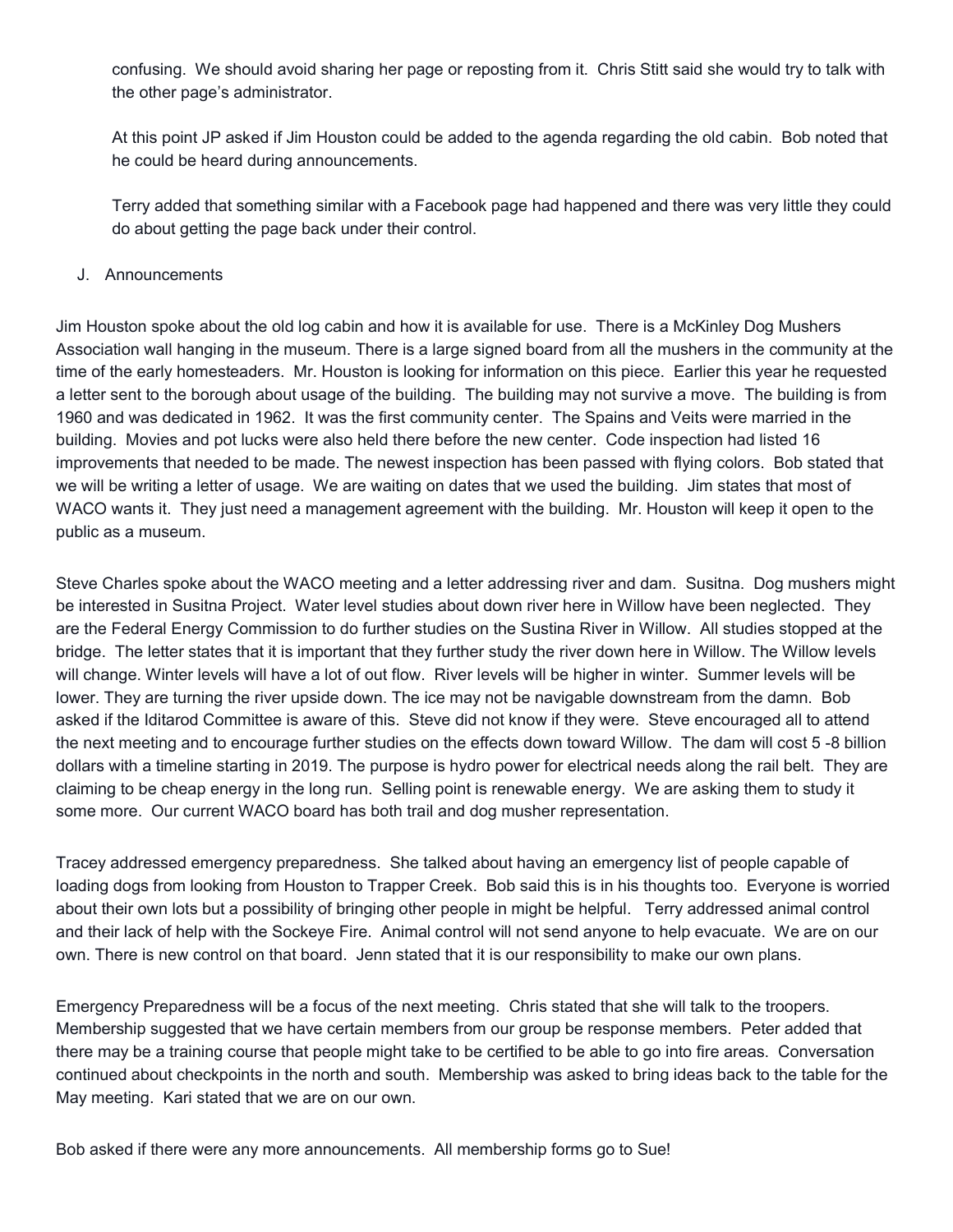confusing. We should avoid sharing her page or reposting from it. Chris Stitt said she would try to talk with the other page's administrator.

At this point JP asked if Jim Houston could be added to the agenda regarding the old cabin. Bob noted that he could be heard during announcements.

Terry added that something similar with a Facebook page had happened and there was very little they could do about getting the page back under their control.

J. Announcements

Jim Houston spoke about the old log cabin and how it is available for use. There is a McKinley Dog Mushers Association wall hanging in the museum. There is a large signed board from all the mushers in the community at the time of the early homesteaders. Mr. Houston is looking for information on this piece. Earlier this year he requested a letter sent to the borough about usage of the building. The building may not survive a move. The building is from 1960 and was dedicated in 1962. It was the first community center. The Spains and Veits were married in the building. Movies and pot lucks were also held there before the new center. Code inspection had listed 16 improvements that needed to be made. The newest inspection has been passed with flying colors. Bob stated that we will be writing a letter of usage. We are waiting on dates that we used the building. Jim states that most of WACO wants it. They just need a management agreement with the building. Mr. Houston will keep it open to the public as a museum.

Steve Charles spoke about the WACO meeting and a letter addressing river and dam. Susitna. Dog mushers might be interested in Susitna Project. Water level studies about down river here in Willow have been neglected. They are the Federal Energy Commission to do further studies on the Sustina River in Willow. All studies stopped at the bridge. The letter states that it is important that they further study the river down here in Willow. The Willow levels will change. Winter levels will have a lot of out flow. River levels will be higher in winter. Summer levels will be lower. They are turning the river upside down. The ice may not be navigable downstream from the damn. Bob asked if the Iditarod Committee is aware of this. Steve did not know if they were. Steve encouraged all to attend the next meeting and to encourage further studies on the effects down toward Willow. The dam will cost 5 -8 billion dollars with a timeline starting in 2019. The purpose is hydro power for electrical needs along the rail belt. They are claiming to be cheap energy in the long run. Selling point is renewable energy. We are asking them to study it some more. Our current WACO board has both trail and dog musher representation.

Tracey addressed emergency preparedness. She talked about having an emergency list of people capable of loading dogs from looking from Houston to Trapper Creek. Bob said this is in his thoughts too. Everyone is worried about their own lots but a possibility of bringing other people in might be helpful. Terry addressed animal control and their lack of help with the Sockeye Fire. Animal control will not send anyone to help evacuate. We are on our own. There is new control on that board. Jenn stated that it is our responsibility to make our own plans.

Emergency Preparedness will be a focus of the next meeting. Chris stated that she will talk to the troopers. Membership suggested that we have certain members from our group be response members. Peter added that there may be a training course that people might take to be certified to be able to go into fire areas. Conversation continued about checkpoints in the north and south. Membership was asked to bring ideas back to the table for the May meeting. Kari stated that we are on our own.

Bob asked if there were any more announcements. All membership forms go to Sue!